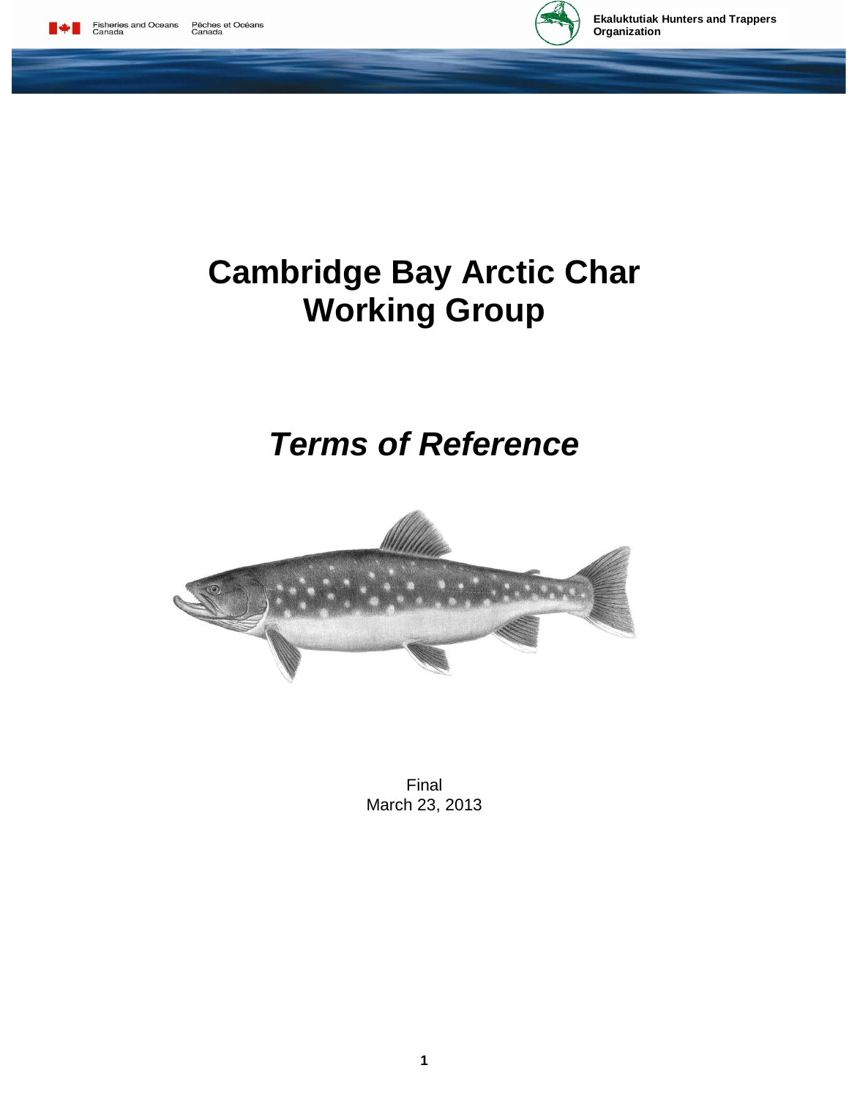



# **Cambridge Bay Arctic Char Working Group**

# *Terms of Reference*



Final March 23, 2013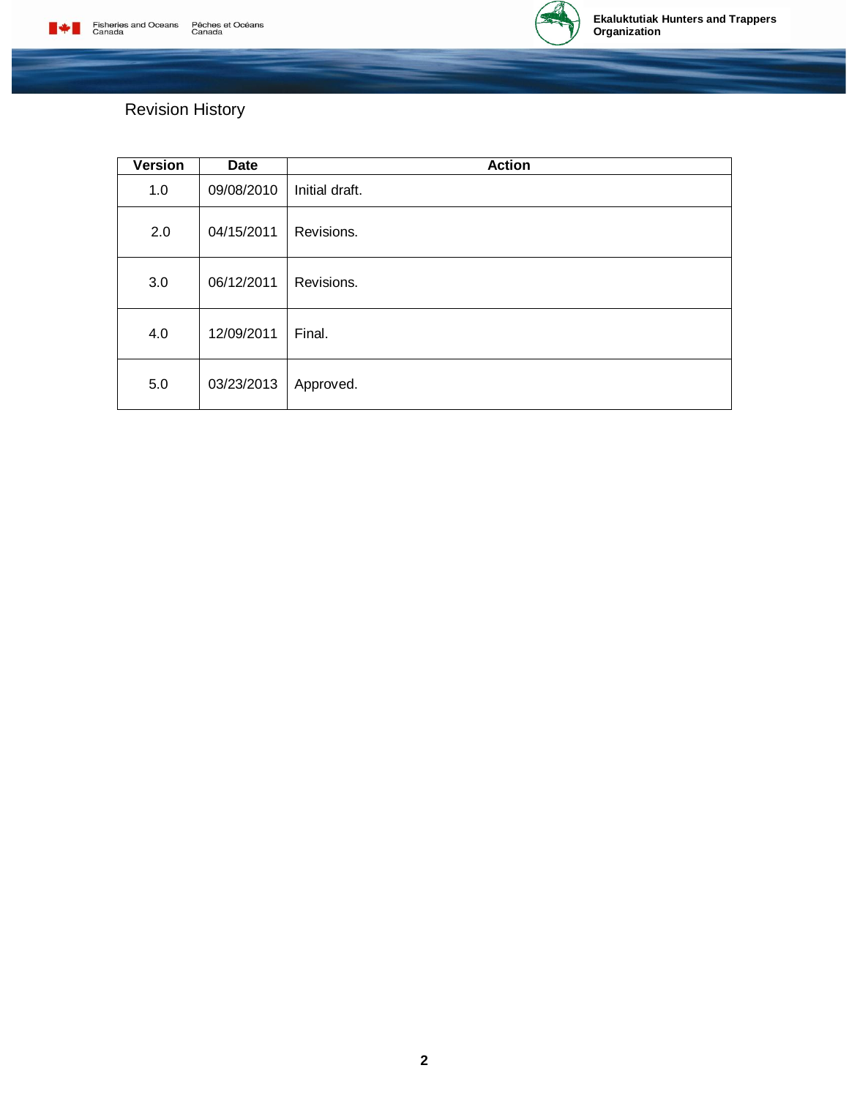

# Revision History

| Version | <b>Date</b> | <b>Action</b>  |
|---------|-------------|----------------|
| 1.0     | 09/08/2010  | Initial draft. |
| 2.0     | 04/15/2011  | Revisions.     |
| 3.0     | 06/12/2011  | Revisions.     |
| 4.0     | 12/09/2011  | Final.         |
| 5.0     | 03/23/2013  | Approved.      |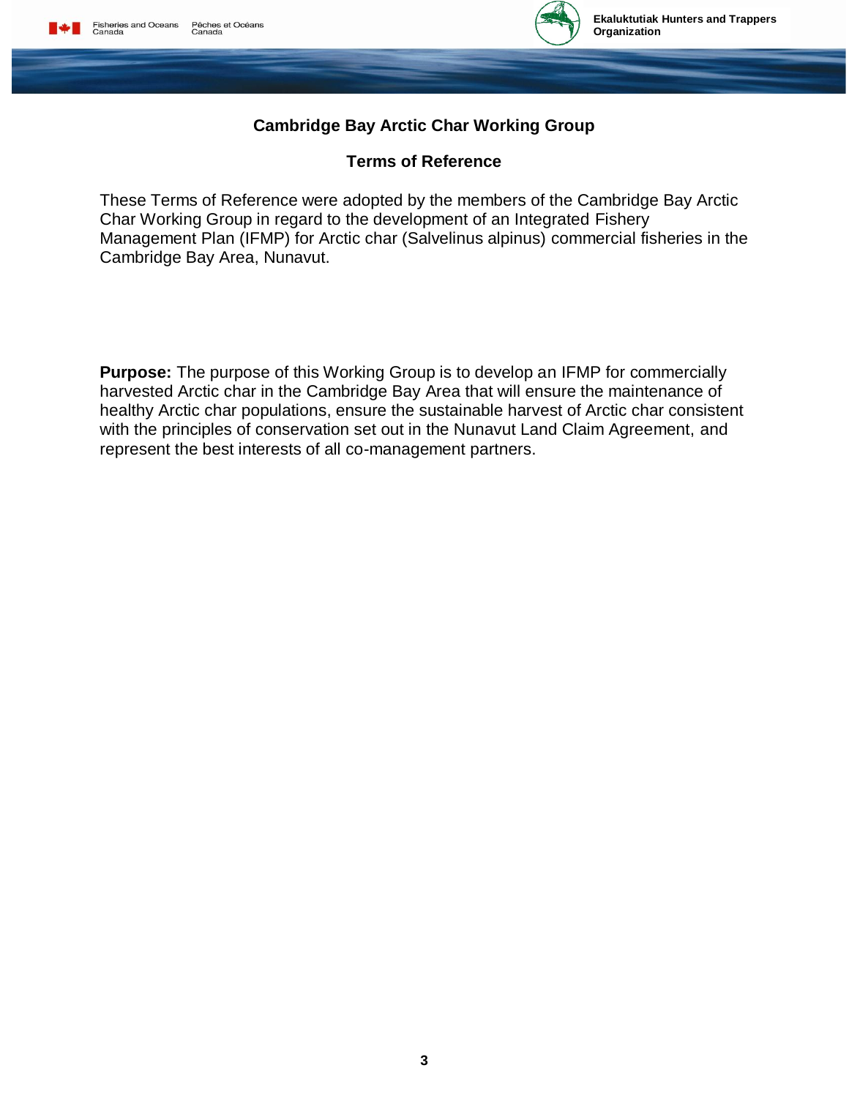

# **Cambridge Bay Arctic Char Working Group**

# **Terms of Reference**

These Terms of Reference were adopted by the members of the Cambridge Bay Arctic Char Working Group in regard to the development of an Integrated Fishery Management Plan (IFMP) for Arctic char (Salvelinus alpinus) commercial fisheries in the Cambridge Bay Area, Nunavut.

**Purpose:** The purpose of this Working Group is to develop an IFMP for commercially harvested Arctic char in the Cambridge Bay Area that will ensure the maintenance of healthy Arctic char populations, ensure the sustainable harvest of Arctic char consistent with the principles of conservation set out in the Nunavut Land Claim Agreement, and represent the best interests of all co-management partners.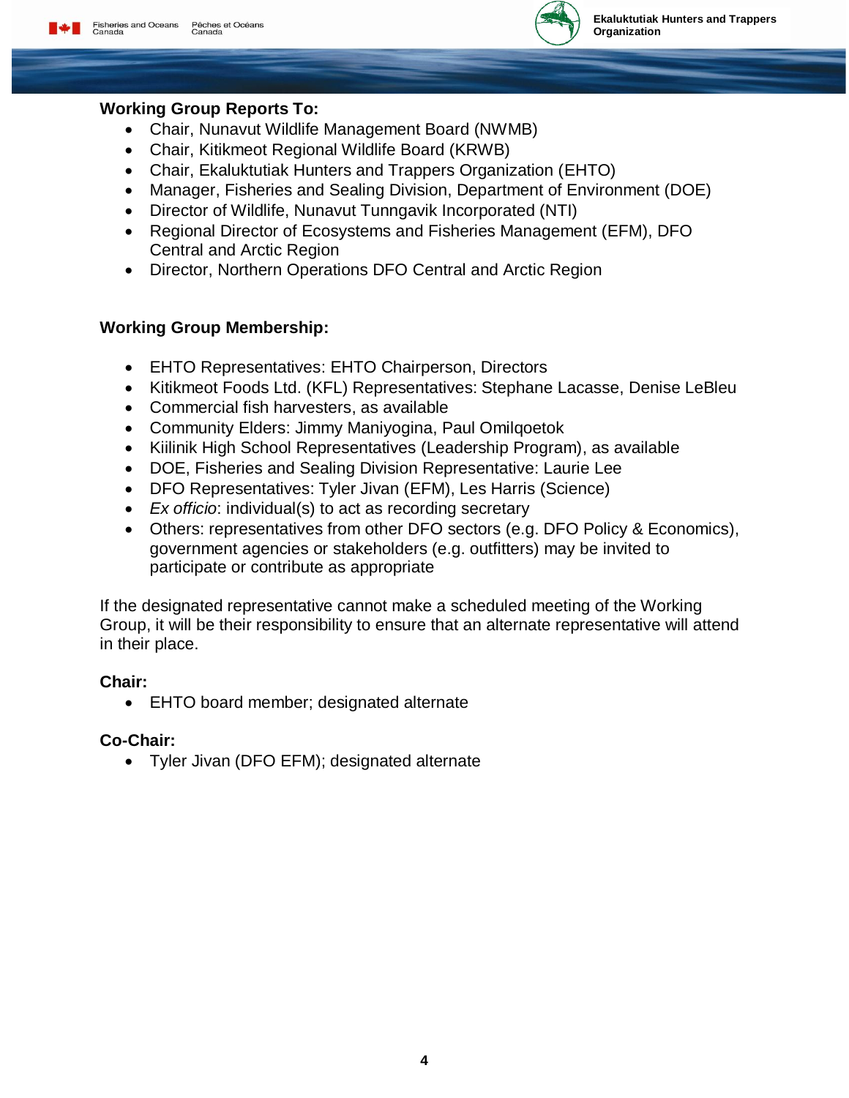

#### **Working Group Reports To:**

- Chair, Nunavut Wildlife Management Board (NWMB)
- Chair, Kitikmeot Regional Wildlife Board (KRWB)
- Chair, Ekaluktutiak Hunters and Trappers Organization (EHTO)
- Manager, Fisheries and Sealing Division, Department of Environment (DOE)
- Director of Wildlife, Nunavut Tunngavik Incorporated (NTI)
- Regional Director of Ecosystems and Fisheries Management (EFM), DFO Central and Arctic Region
- Director, Northern Operations DFO Central and Arctic Region

# **Working Group Membership:**

- EHTO Representatives: EHTO Chairperson, Directors
- Kitikmeot Foods Ltd. (KFL) Representatives: Stephane Lacasse, Denise LeBleu
- Commercial fish harvesters, as available
- Community Elders: Jimmy Maniyogina, Paul Omilqoetok
- Kiilinik High School Representatives (Leadership Program), as available
- DOE, Fisheries and Sealing Division Representative: Laurie Lee
- DFO Representatives: Tyler Jivan (EFM), Les Harris (Science)
- *Ex officio*: individual(s) to act as recording secretary
- Others: representatives from other DFO sectors (e.g. DFO Policy & Economics), government agencies or stakeholders (e.g. outfitters) may be invited to participate or contribute as appropriate

If the designated representative cannot make a scheduled meeting of the Working Group, it will be their responsibility to ensure that an alternate representative will attend in their place.

# **Chair:**

EHTO board member; designated alternate

# **Co-Chair:**

Tyler Jivan (DFO EFM); designated alternate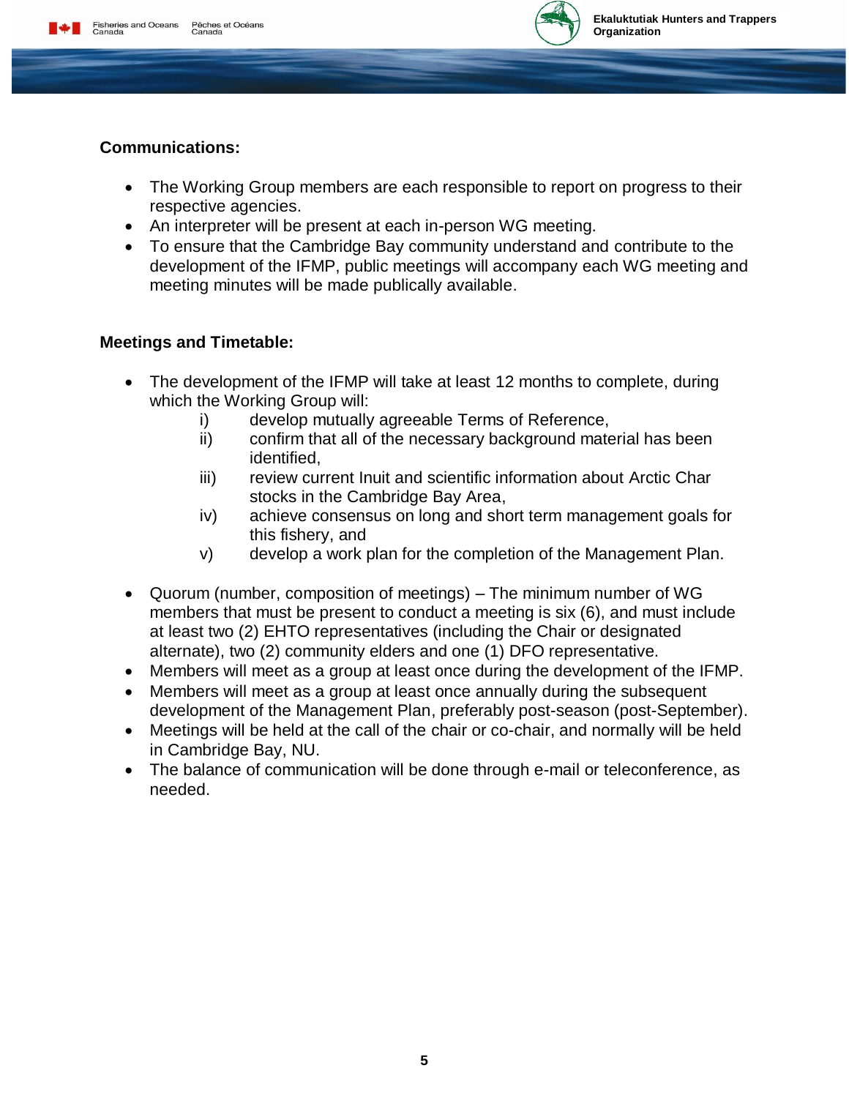

# **Communications:**

- The Working Group members are each responsible to report on progress to their respective agencies.
- An interpreter will be present at each in-person WG meeting.
- To ensure that the Cambridge Bay community understand and contribute to the development of the IFMP, public meetings will accompany each WG meeting and meeting minutes will be made publically available.

# **Meetings and Timetable:**

- The development of the IFMP will take at least 12 months to complete, during which the Working Group will:
	- i) develop mutually agreeable Terms of Reference,
	- ii) confirm that all of the necessary background material has been identified,
	- iii) review current Inuit and scientific information about Arctic Char stocks in the Cambridge Bay Area,
	- iv) achieve consensus on long and short term management goals for this fishery, and
	- v) develop a work plan for the completion of the Management Plan.
- Quorum (number, composition of meetings) The minimum number of WG members that must be present to conduct a meeting is six (6), and must include at least two (2) EHTO representatives (including the Chair or designated alternate), two (2) community elders and one (1) DFO representative.
- Members will meet as a group at least once during the development of the IFMP.
- Members will meet as a group at least once annually during the subsequent development of the Management Plan, preferably post-season (post-September).
- Meetings will be held at the call of the chair or co-chair, and normally will be held in Cambridge Bay, NU.
- The balance of communication will be done through e-mail or teleconference, as needed.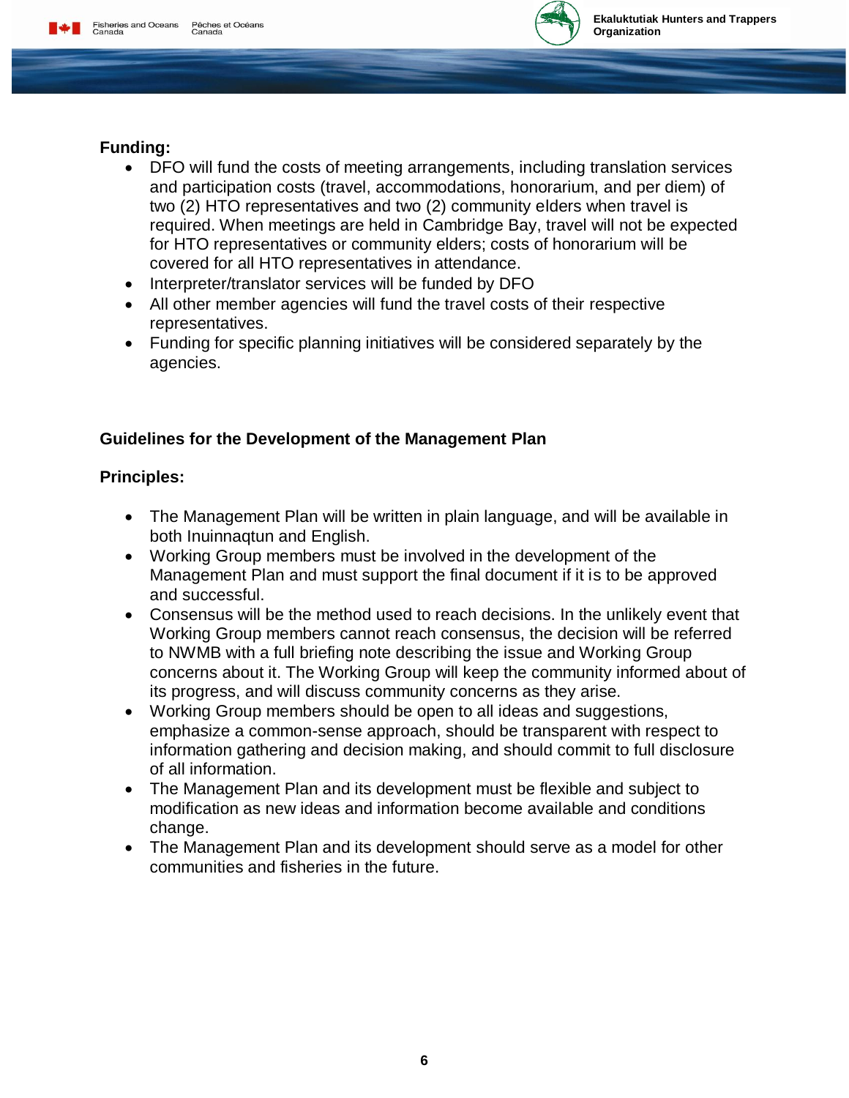

# **Funding:**

- DFO will fund the costs of meeting arrangements, including translation services and participation costs (travel, accommodations, honorarium, and per diem) of two (2) HTO representatives and two (2) community elders when travel is required. When meetings are held in Cambridge Bay, travel will not be expected for HTO representatives or community elders; costs of honorarium will be covered for all HTO representatives in attendance.
- Interpreter/translator services will be funded by DFO
- All other member agencies will fund the travel costs of their respective representatives.
- Funding for specific planning initiatives will be considered separately by the agencies.

# **Guidelines for the Development of the Management Plan**

#### **Principles:**

- The Management Plan will be written in plain language, and will be available in both Inuinnaqtun and English.
- Working Group members must be involved in the development of the Management Plan and must support the final document if it is to be approved and successful.
- Consensus will be the method used to reach decisions. In the unlikely event that Working Group members cannot reach consensus, the decision will be referred to NWMB with a full briefing note describing the issue and Working Group concerns about it. The Working Group will keep the community informed about of its progress, and will discuss community concerns as they arise.
- Working Group members should be open to all ideas and suggestions, emphasize a common-sense approach, should be transparent with respect to information gathering and decision making, and should commit to full disclosure of all information.
- The Management Plan and its development must be flexible and subject to modification as new ideas and information become available and conditions change.
- The Management Plan and its development should serve as a model for other communities and fisheries in the future.